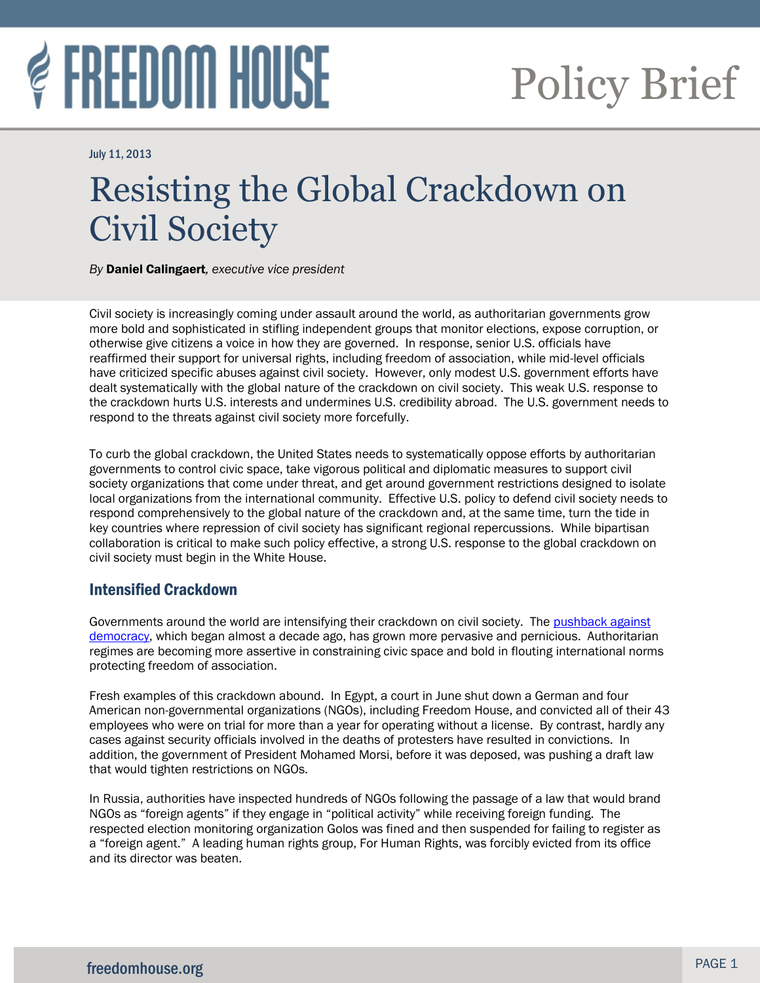# **FREEDOM HOUSE**

## Policy Brief

July 11, 2013

## Resisting the Global Crackdown on Civil Society

l

*By* Daniel Calingaert*, executive vice president* 

Civil society is increasingly coming under assault around the world, as authoritarian governments grow more bold and sophisticated in stifling independent groups that monitor elections, expose corruption, or otherwise give citizens a voice in how they are governed. In response, senior U.S. officials have reaffirmed their support for universal rights, including freedom of association, while mid-level officials have criticized specific abuses against civil society. However, only modest U.S. government efforts have dealt systematically with the global nature of the crackdown on civil society. This weak U.S. response to the crackdown hurts U.S. interests and undermines U.S. credibility abroad. The U.S. government needs to respond to the threats against civil society more forcefully.

To curb the global crackdown, the United States needs to systematically oppose efforts by authoritarian governments to control civic space, take vigorous political and diplomatic measures to support civil society organizations that come under threat, and get around government restrictions designed to isolate local organizations from the international community. Effective U.S. policy to defend civil society needs to respond comprehensively to the global nature of the crackdown and, at the same time, turn the tide in key countries where repression of civil society has significant regional repercussions. While bipartisan collaboration is critical to make such policy effective, a strong U.S. response to the global crackdown on civil society must begin in the White House.

### Intensified Crackdown

Governments around the world are intensifying their crackdown on civil society. The pushback against [democracy,](http://www.freedomhouse.org/article/2006-freedom-house-survey-pushback-against-democracy) which began almost a decade ago, has grown more pervasive and pernicious. Authoritarian regimes are becoming more assertive in constraining civic space and bold in flouting international norms protecting freedom of association.

Fresh examples of this crackdown abound. In Egypt, a court in June shut down a German and four American non-governmental organizations (NGOs), including Freedom House, and convicted all of their 43 employees who were on trial for more than a year for operating without a license. By contrast, hardly any cases against security officials involved in the deaths of protesters have resulted in convictions. In addition, the government of President Mohamed Morsi, before it was deposed, was pushing a draft law that would tighten restrictions on NGOs.

In Russia, authorities have inspected hundreds of NGOs following the passage of a law that would brand NGOs as "foreign agents" if they engage in "political activity" while receiving foreign funding. The respected election monitoring organization Golos was fined and then suspended for failing to register as a "foreign agent." A leading human rights group, For Human Rights, was forcibly evicted from its office and its director was beaten.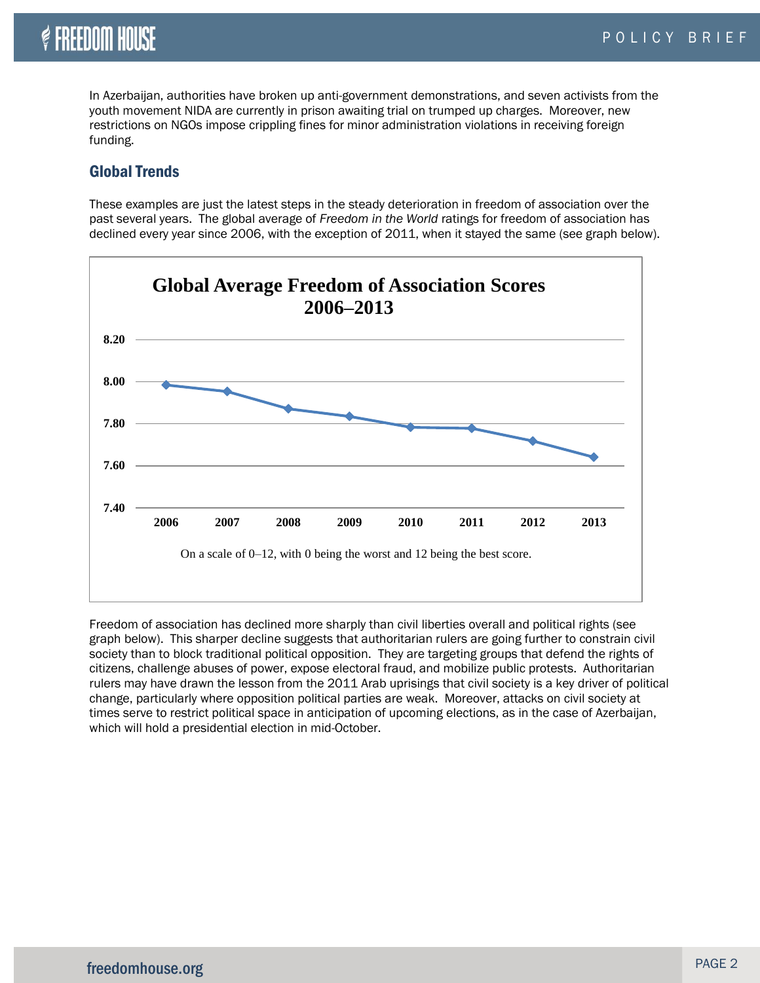## **& FREEDOM HOUSE**

In Azerbaijan, authorities have broken up anti-government demonstrations, and seven activists from the youth movement NIDA are currently in prison awaiting trial on trumped up charges. Moreover, new restrictions on NGOs impose crippling fines for minor administration violations in receiving foreign funding.

#### Global Trends

These examples are just the latest steps in the steady deterioration in freedom of association over the past several years. The global average of *Freedom in the World* ratings for freedom of association has declined every year since 2006, with the exception of 2011, when it stayed the same (see graph below).



Freedom of association has declined more sharply than civil liberties overall and political rights (see graph below). This sharper decline suggests that authoritarian rulers are going further to constrain civil society than to block traditional political opposition. They are targeting groups that defend the rights of citizens, challenge abuses of power, expose electoral fraud, and mobilize public protests. Authoritarian rulers may have drawn the lesson from the 2011 Arab uprisings that civil society is a key driver of political change, particularly where opposition political parties are weak. Moreover, attacks on civil society at times serve to restrict political space in anticipation of upcoming elections, as in the case of Azerbaijan, which will hold a presidential election in mid-October.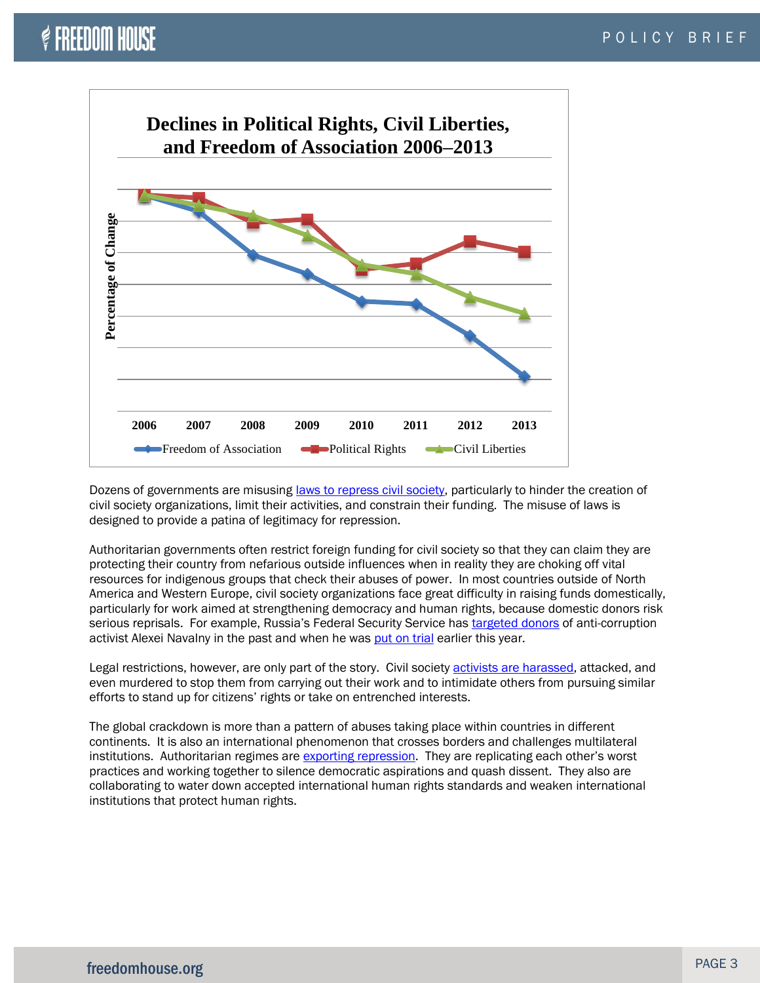## $\mathcal C$  freedom house



Dozens of governments are misusing [laws to repress civil society,](http://www.icnl.org/research/resources/dcs/DCS_Report_Second_Edition_English.pdf) particularly to hinder the creation of civil society organizations, limit their activities, and constrain their funding. The misuse of laws is designed to provide a patina of legitimacy for repression.

Authoritarian governments often restrict foreign funding for civil society so that they can claim they are protecting their country from nefarious outside influences when in reality they are choking off vital resources for indigenous groups that check their abuses of power. In most countries outside of North America and Western Europe, civil society organizations face great difficulty in raising funds domestically, particularly for work aimed at strengthening democracy and human rights, because domestic donors risk serious reprisals. For example, Russia's Federal Security Service has [targeted donors](http://www.sptimes.ru/index_bp.php?action_id=2&story_id=33934§ion=12) of anti-corruption activist Alexei Navalny in the past and when he was [put on trial](http://www.nytimes.com/2013/04/17/world/europe/trial-of-russian-activist-aleksei-navalny-to-begin.html?pagewanted=all) earlier this year.

Legal restrictions, however, are only part of the story. Civil society [activists are harassed,](http://www.civicus.org/content/CIVICUS-Global_trends_in_Civil_Society_Space_2009-2010.pdf) attacked, and even murdered to stop them from carrying out their work and to intimidate others from pursuing similar efforts to stand up for citizens' rights or take on entrenched interests.

The global crackdown is more than a pattern of abuses taking place within countries in different continents. It is also an international phenomenon that crosses borders and challenges multilateral institutions. Authoritarian regimes are [exporting repression](http://www.freedomhouse.org/blog/exporting-repression). They are replicating each other's worst practices and working together to silence democratic aspirations and quash dissent. They also are collaborating to water down accepted international human rights standards and weaken international institutions that protect human rights.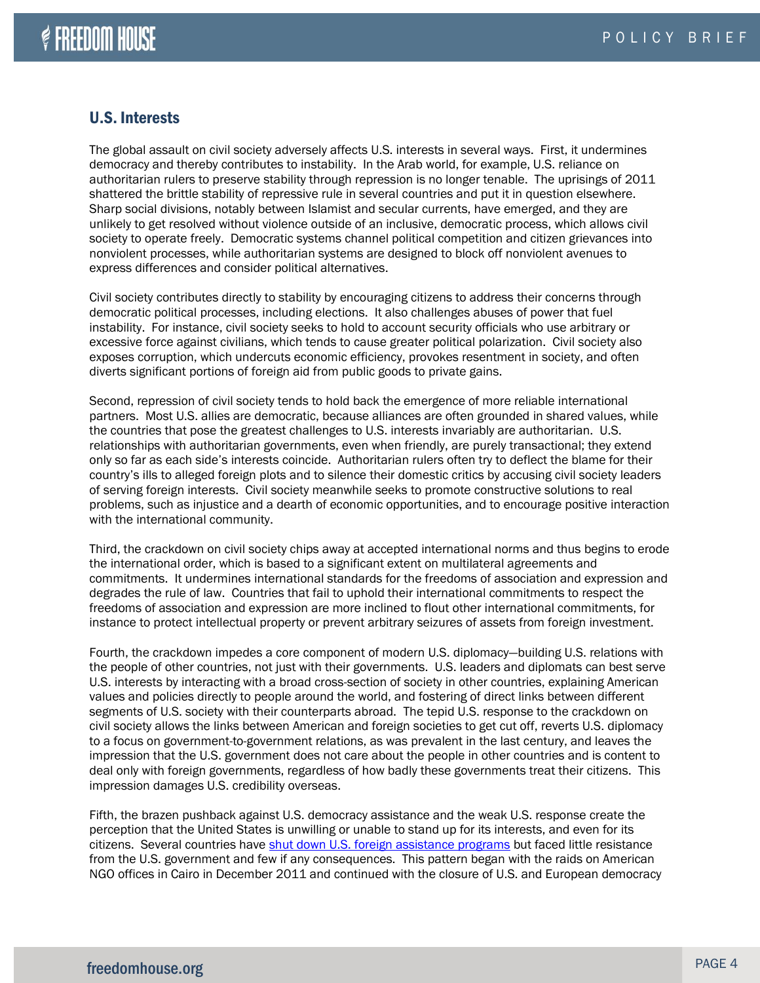#### U.S. Interests

The global assault on civil society adversely affects U.S. interests in several ways. First, it undermines democracy and thereby contributes to instability. In the Arab world, for example, U.S. reliance on authoritarian rulers to preserve stability through repression is no longer tenable. The uprisings of 2011 shattered the brittle stability of repressive rule in several countries and put it in question elsewhere. Sharp social divisions, notably between Islamist and secular currents, have emerged, and they are unlikely to get resolved without violence outside of an inclusive, democratic process, which allows civil society to operate freely. Democratic systems channel political competition and citizen grievances into nonviolent processes, while authoritarian systems are designed to block off nonviolent avenues to express differences and consider political alternatives.

Civil society contributes directly to stability by encouraging citizens to address their concerns through democratic political processes, including elections. It also challenges abuses of power that fuel instability. For instance, civil society seeks to hold to account security officials who use arbitrary or excessive force against civilians, which tends to cause greater political polarization. Civil society also exposes corruption, which undercuts economic efficiency, provokes resentment in society, and often diverts significant portions of foreign aid from public goods to private gains.

Second, repression of civil society tends to hold back the emergence of more reliable international partners. Most U.S. allies are democratic, because alliances are often grounded in shared values, while the countries that pose the greatest challenges to U.S. interests invariably are authoritarian. U.S. relationships with authoritarian governments, even when friendly, are purely transactional; they extend only so far as each side's interests coincide. Authoritarian rulers often try to deflect the blame for their country's ills to alleged foreign plots and to silence their domestic critics by accusing civil society leaders of serving foreign interests. Civil society meanwhile seeks to promote constructive solutions to real problems, such as injustice and a dearth of economic opportunities, and to encourage positive interaction with the international community.

Third, the crackdown on civil society chips away at accepted international norms and thus begins to erode the international order, which is based to a significant extent on multilateral agreements and commitments. It undermines international standards for the freedoms of association and expression and degrades the rule of law. Countries that fail to uphold their international commitments to respect the freedoms of association and expression are more inclined to flout other international commitments, for instance to protect intellectual property or prevent arbitrary seizures of assets from foreign investment.

Fourth, the crackdown impedes a core component of modern U.S. diplomacy—building U.S. relations with the people of other countries, not just with their governments. U.S. leaders and diplomats can best serve U.S. interests by interacting with a broad cross-section of society in other countries, explaining American values and policies directly to people around the world, and fostering of direct links between different segments of U.S. society with their counterparts abroad. The tepid U.S. response to the crackdown on civil society allows the links between American and foreign societies to get cut off, reverts U.S. diplomacy to a focus on government-to-government relations, as was prevalent in the last century, and leaves the impression that the U.S. government does not care about the people in other countries and is content to deal only with foreign governments, regardless of how badly these governments treat their citizens. This impression damages U.S. credibility overseas.

Fifth, the brazen pushback against U.S. democracy assistance and the weak U.S. response create the perception that the United States is unwilling or unable to stand up for its interests, and even for its citizens. Several countries have [shut down U.S. foreign assistance programs](http://www.freedomhouse.org/blog/dangerous-pattern-foreign-assistance) but faced little resistance from the U.S. government and few if any consequences. This pattern began with the raids on American NGO offices in Cairo in December 2011 and continued with the closure of U.S. and European democracy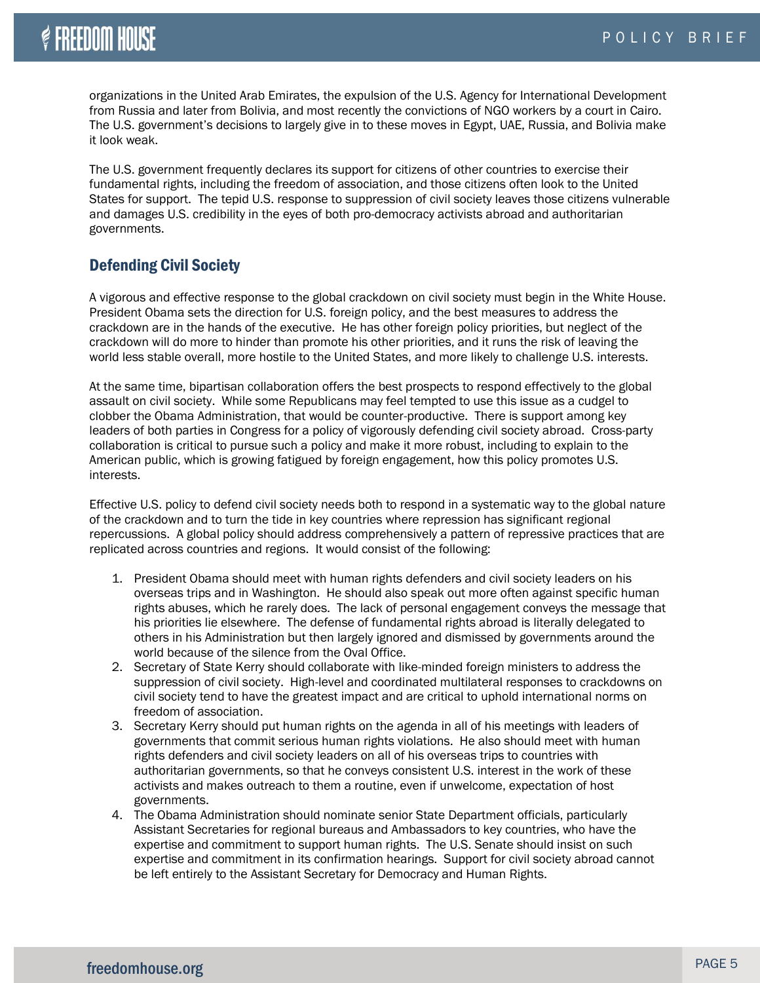organizations in the United Arab Emirates, the expulsion of the U.S. Agency for International Development from Russia and later from Bolivia, and most recently the convictions of NGO workers by a court in Cairo. The U.S. government's decisions to largely give in to these moves in Egypt, UAE, Russia, and Bolivia make it look weak.

The U.S. government frequently declares its support for citizens of other countries to exercise their fundamental rights, including the freedom of association, and those citizens often look to the United States for support. The tepid U.S. response to suppression of civil society leaves those citizens vulnerable and damages U.S. credibility in the eyes of both pro-democracy activists abroad and authoritarian governments.

#### Defending Civil Society

A vigorous and effective response to the global crackdown on civil society must begin in the White House. President Obama sets the direction for U.S. foreign policy, and the best measures to address the crackdown are in the hands of the executive. He has other foreign policy priorities, but neglect of the crackdown will do more to hinder than promote his other priorities, and it runs the risk of leaving the world less stable overall, more hostile to the United States, and more likely to challenge U.S. interests.

At the same time, bipartisan collaboration offers the best prospects to respond effectively to the global assault on civil society. While some Republicans may feel tempted to use this issue as a cudgel to clobber the Obama Administration, that would be counter-productive. There is support among key leaders of both parties in Congress for a policy of vigorously defending civil society abroad. Cross-party collaboration is critical to pursue such a policy and make it more robust, including to explain to the American public, which is growing fatigued by foreign engagement, how this policy promotes U.S. interests.

Effective U.S. policy to defend civil society needs both to respond in a systematic way to the global nature of the crackdown and to turn the tide in key countries where repression has significant regional repercussions. A global policy should address comprehensively a pattern of repressive practices that are replicated across countries and regions. It would consist of the following:

- 1. President Obama should meet with human rights defenders and civil society leaders on his overseas trips and in Washington. He should also speak out more often against specific human rights abuses, which he rarely does. The lack of personal engagement conveys the message that his priorities lie elsewhere. The defense of fundamental rights abroad is literally delegated to others in his Administration but then largely ignored and dismissed by governments around the world because of the silence from the Oval Office.
- 2. Secretary of State Kerry should collaborate with like-minded foreign ministers to address the suppression of civil society. High-level and coordinated multilateral responses to crackdowns on civil society tend to have the greatest impact and are critical to uphold international norms on freedom of association.
- 3. Secretary Kerry should put human rights on the agenda in all of his meetings with leaders of governments that commit serious human rights violations. He also should meet with human rights defenders and civil society leaders on all of his overseas trips to countries with authoritarian governments, so that he conveys consistent U.S. interest in the work of these activists and makes outreach to them a routine, even if unwelcome, expectation of host governments.
- 4. The Obama Administration should nominate senior State Department officials, particularly Assistant Secretaries for regional bureaus and Ambassadors to key countries, who have the expertise and commitment to support human rights. The U.S. Senate should insist on such expertise and commitment in its confirmation hearings. Support for civil society abroad cannot be left entirely to the Assistant Secretary for Democracy and Human Rights.